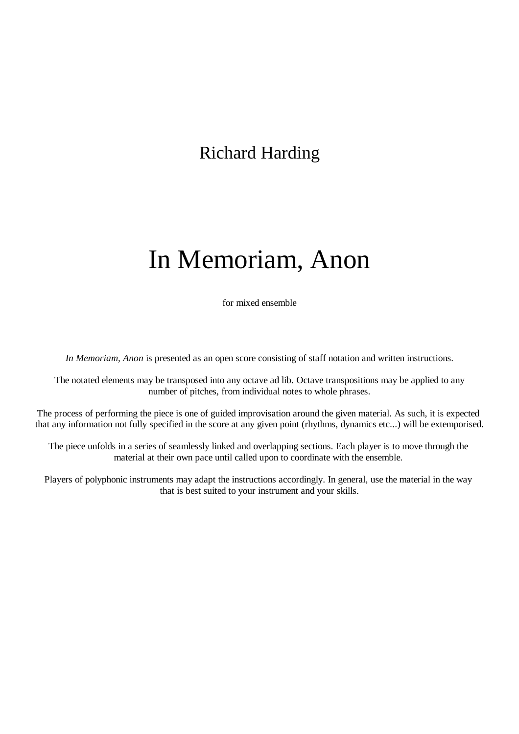## Richard Harding

## In Memoriam, Anon

for mixed ensemble

*In Memoriam, Anon* is presented as an open score consisting of staff notation and written instructions.

The notated elements may be transposed into any octave ad lib. Octave transpositions may be applied to any number of pitches, from individual notes to whole phrases.

The process of performing the piece is one of guided improvisation around the given material. As such, it is expected that any information not fully specified in the score at any given point (rhythms, dynamics etc...) will be extemporised.

The piece unfolds in a series of seamlessly linked and overlapping sections. Each player is to move through the material at their own pace until called upon to coordinate with the ensemble.

Players of polyphonic instruments may adapt the instructions accordingly. In general, use the material in the way that is best suited to your instrument and your skills.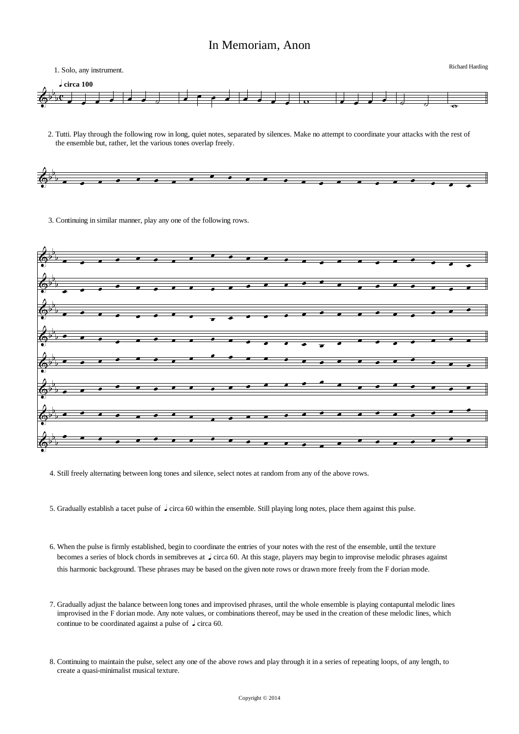## In Memoriam, Anon



2. Tutti. Play through the following row in long, quiet notes, separated by silences. Make no attempt to coordinate your attacks with the rest of the ensemble but, rather, let the various tones overlap freely.



3. Continuing in similar manner, play any one of the following rows.



- 4. Still freely alternating between long tones and silence, select notes at random from any of the above rows.
- 5. Gradually establish a tacet pulse of  $\int$  circa 60 within the ensemble. Still playing long notes, place them against this pulse.
- 6. When the pulse is firmly established, begin to coordinate the entries of your notes with the rest of the ensemble, until the texture becomes a series of block chords in semibreves at  $\int$  circa 60. At this stage, players may begin to improvise melodic phrases against this harmonic background. These phrases may be based on the given note rows or drawn more freely from the F dorian mode.
- 7. Gradually adjust the balance between long tones and improvised phrases, until the whole ensemble is playing contapuntal melodic lines improvised in the F dorian mode. Any note values, or combinations thereof, may be used in the creation of these melodic lines, which continue to be coordinated against a pulse of  $\sqrt{\frac{1}{2}}$  circa 60.
- 8. Continuing to maintain the pulse, select any one of the above rows and play through it in a series of repeating loops, of any length, to create a quasi-minimalist musical texture.